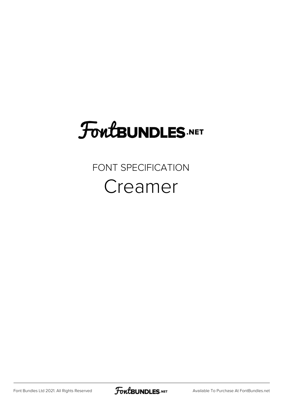## **FoutBUNDLES.NET**

### FONT SPECIFICATION Creamer

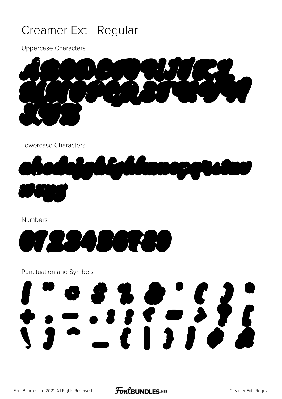### Creamer Ext - Regular

**Uppercase Characters** 

Lowercase Characters





Numbers



#### Punctuation and Symbols

#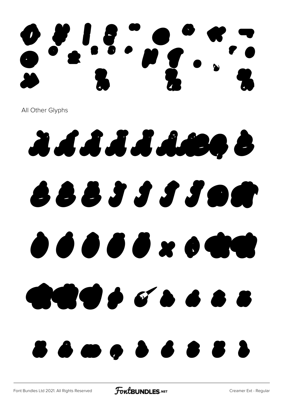# 

All Other Glyphs

d d d d d dro b 688*3333*06  $\begin{array}{ccccc} \bullet & \bullet & \bullet & \bullet & \bullet & \bullet & \bullet \end{array}$ . . . . . . . . .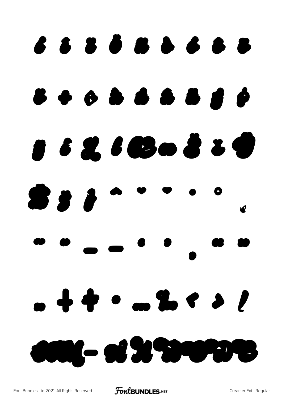# 6 8 8 8 8 8 6 8 8 888  $\bullet$ **Ande of Stronger**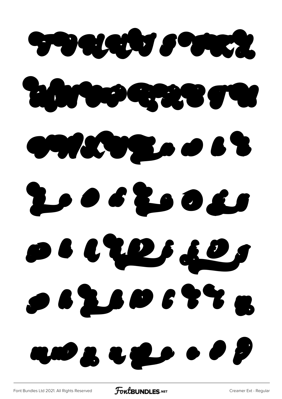

[Font Bundles Ltd 2021. All Rights Reserved](https://fontbundles.net/) **FoutBUNDLES.NET** [Creamer Ext - Regular](https://fontbundles.net/)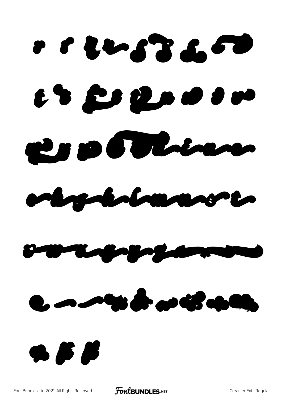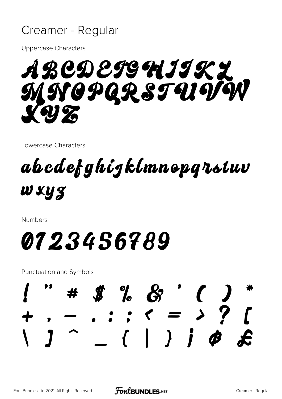### Creamer - Regular

**Uppercase Characters** 

ABCDETSUITKZ MNOPQRSTUVW (2) 25

Lowercase Characters

## abcdefghigklmnopqrstuv W XY Z

Numbers

# *0123456789*

Punctuation and Symbols

### $\%$   $\&$  $\ldots$  ,  $\langle - \rangle$  $\left\{ \begin{array}{c} 1 \\ 2 \end{array} \right\}$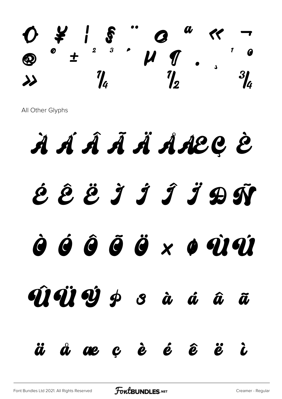

All Other Glyphs

À Á Á Ã Ä Ä Å A&C È ÉÊËÎ Î Î J ĐÑ *à à â ã ä x o û i û* Méjéj p s à á  $\hat{a}$ ã æçèé ê ä  $\hat{\boldsymbol{a}}$  $\ddot{\mathbf{\emph{e}}}'$  $\boldsymbol{\grave{c}}$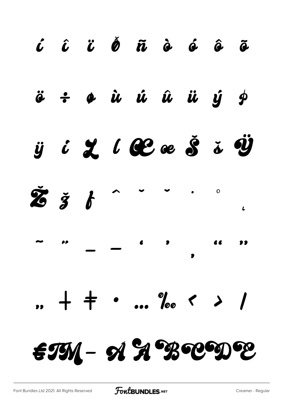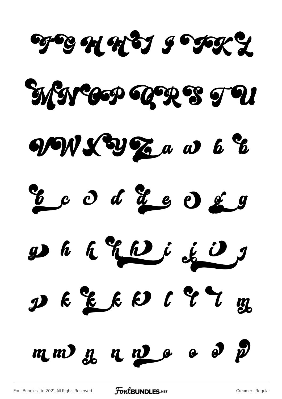